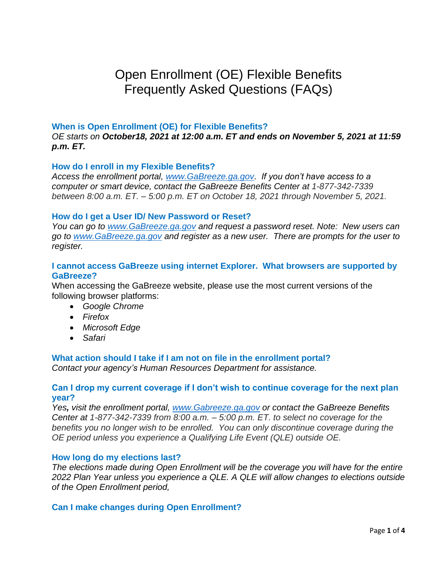# Open Enrollment (OE) Flexible Benefits Frequently Asked Questions (FAQs)

## **When is Open Enrollment (OE) for Flexible Benefits?**

*OE starts on October18, 2021 at 12:00 a.m. ET and ends on November 5, 2021 at 11:59 p.m. ET.*

## **How do I enroll in my Flexible Benefits?**

*Access the enrollment portal, [www.GaBreeze.ga.gov.](http://www.gabreeze.ga.gov/) If you don't have access to a computer or smart device, contact the GaBreeze Benefits Center at 1-877-342-7339 between 8:00 a.m. ET. – 5:00 p.m. ET on October 18, 2021 through November 5, 2021.*

## **How do I get a User ID/ New Password or Reset?**

*You can go to [www.GaBreeze.ga.gov](http://www.gabreeze.ga.gov/) and request a password reset. Note: New users can go to [www.GaBreeze.ga.gov](http://www.gabreeze.ga.gov/) and register as a new user. There are prompts for the user to register.* 

## **I cannot access GaBreeze using internet Explorer. What browsers are supported by GaBreeze?**

When accessing the GaBreeze website, please use the most current versions of the following browser platforms:

- *Google Chrome*
- *Firefox*
- *Microsoft Edge*
- *Safari*

## **What action should I take if I am not on file in the enrollment portal?**

*Contact your agency's Human Resources Department for assistance.*

## **Can I drop my current coverage if I don't wish to continue coverage for the next plan year?**

*Yes, visit the enrollment portal, [www.Gabreeze.ga.gov](http://www.gabreeze.ga.gov/) or contact the GaBreeze Benefits Center at 1-877-342-7339 from 8:00 a.m. – 5:00 p.m. ET. to select no coverage for the benefits you no longer wish to be enrolled. You can only discontinue coverage during the OE period unless you experience a Qualifying Life Event (QLE) outside OE.*

## **How long do my elections last?**

*The elections made during Open Enrollment will be the coverage you will have for the entire 2022 Plan Year unless you experience a QLE. A QLE will allow changes to elections outside of the Open Enrollment period,*

## **Can I make changes during Open Enrollment?**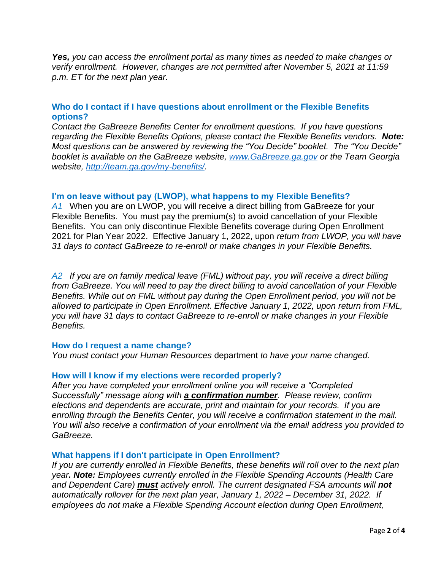*Yes, you can access the enrollment portal as many times as needed to make changes or verify enrollment. However, changes are not permitted after November 5, 2021 at 11:59 p.m. ET for the next plan year.* 

# **Who do I contact if I have questions about enrollment or the Flexible Benefits options?**

*Contact the GaBreeze Benefits Center for enrollment questions. If you have questions regarding the Flexible Benefits Options, please contact the Flexible Benefits vendors. Note: Most questions can be answered by reviewing the "You Decide" booklet. The "You Decide" booklet is available on the GaBreeze website, [www.GaBreeze.ga.gov](http://www.gabreeze.ga.gov/) or the Team Georgia website, [http://team.ga.gov/my-benefits/.](http://team.ga.gov/my-benefits/)* 

# **I'm on leave without pay (LWOP), what happens to my Flexible Benefits?**

*A1* When you are on LWOP, you will receive a direct billing from GaBreeze for your Flexible Benefits. You must pay the premium(s) to avoid cancellation of your Flexible Benefits. You can only discontinue Flexible Benefits coverage during Open Enrollment 2021 for Plan Year 2022. Effective January 1, 2022, upon *return from LWOP, you will have 31 days to contact GaBreeze to re-enroll or make changes in your Flexible Benefits.*

*A2 If you are on family medical leave (FML) without pay, you will receive a direct billing from GaBreeze. You will need to pay the direct billing to avoid cancellation of your Flexible Benefits. While out on FML without pay during the Open Enrollment period, you will not be allowed to participate in Open Enrollment. Effective January 1, 2022, upon return from FML, you will have 31 days to contact GaBreeze to re-enroll or make changes in your Flexible Benefits.*

## **How do I request a name change?**

*You must contact your Human Resources* department *to have your name changed.*

## **How will I know if my elections were recorded properly?**

*After you have completed your enrollment online you will receive a "Completed Successfully" message along with a confirmation number. Please review, confirm elections and dependents are accurate, print and maintain for your records. If you are enrolling through the Benefits Center, you will receive a confirmation statement in the mail. You will also receive a confirmation of your enrollment via the email address you provided to GaBreeze.*

## **What happens if I don't participate in Open Enrollment?**

*If you are currently enrolled in Flexible Benefits, these benefits will roll over to the next plan year. Note: Employees currently enrolled in the Flexible Spending Accounts (Health Care and Dependent Care) must actively enroll. The current designated FSA amounts will not automatically rollover for the next plan year, January 1, 2022 – December 31, 2022. If employees do not make a Flexible Spending Account election during Open Enrollment,*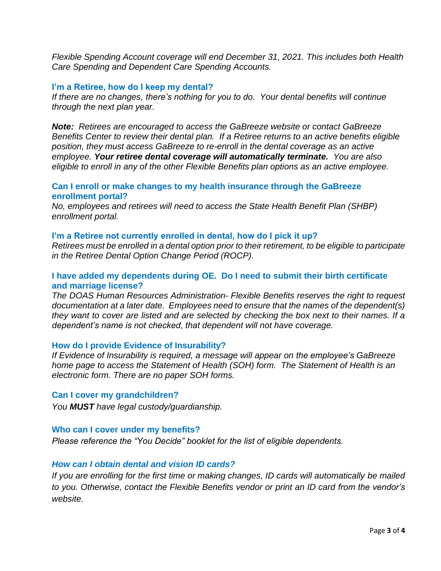*Flexible Spending Account coverage will end December 31, 2021. This includes both Health Care Spending and Dependent Care Spending Accounts.* 

#### **I'm a Retiree, how do I keep my dental?**

*If there are no changes, there's nothing for you to do. Your dental benefits will continue through the next plan year.*

*Note: Retirees are encouraged to access the GaBreeze website or contact GaBreeze Benefits Center to review their dental plan. If a Retiree returns to an active benefits eligible position, they must access GaBreeze to re-enroll in the dental coverage as an active employee. Your retiree dental coverage will automatically terminate. You are also eligible to enroll in any of the other Flexible Benefits plan options as an active employee.* 

## **Can I enroll or make changes to my health insurance through the GaBreeze enrollment portal?**

*No, employees and retirees will need to access the State Health Benefit Plan (SHBP) enrollment portal.*

#### **I'm a Retiree not currently enrolled in dental, how do I pick it up?**

*Retirees must be enrolled in a dental option prior to their retirement, to be eligible to participate in the Retiree Dental Option Change Period (ROCP).*

## **I have added my dependents during OE. Do I need to submit their birth certificate and marriage license?**

*The DOAS Human Resources Administration- Flexible Benefits reserves the right to request documentation at a later date. Employees need to ensure that the names of the dependent(s) they want to cover are listed and are selected by checking the box next to their names. If a dependent's name is not checked, that dependent will not have coverage.* 

#### **How do I provide Evidence of Insurability?**

*If Evidence of Insurability is required, a message will appear on the employee's GaBreeze home page to access the Statement of Health (SOH) form. The Statement of Health is an electronic form. There are no paper SOH forms.*

#### **Can I cover my grandchildren?**

*You MUST have legal custody/guardianship.*

#### **Who can I cover under my benefits?**

*Please reference the "You Decide" booklet for the list of eligible dependents.*

## *How can I obtain dental and vision ID cards?*

*If you are enrolling for the first time or making changes, ID cards will automatically be mailed to you. Otherwise, contact the Flexible Benefits vendor or print an ID card from the vendor's website.*